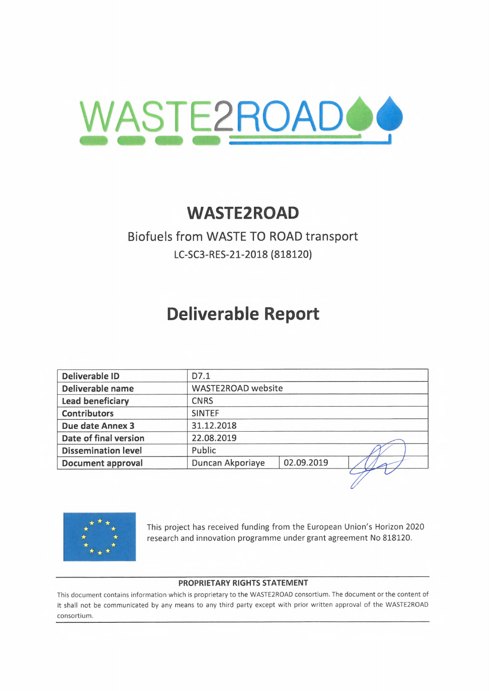

# **WASTE2R0AD**

# Biofuels from WASTE TO ROAD transport **LC-SC3-RES-21-2018 (818120)**

# **Deliverable Report**

| <b>Deliverable ID</b>      | D7.1             |                           |  |  |
|----------------------------|------------------|---------------------------|--|--|
| Deliverable name           |                  | <b>WASTE2ROAD</b> website |  |  |
| <b>Lead beneficiary</b>    | <b>CNRS</b>      |                           |  |  |
| <b>Contributors</b>        | <b>SINTEF</b>    |                           |  |  |
| <b>Due date Annex 3</b>    | 31.12.2018       |                           |  |  |
| Date of final version      | 22.08.2019       |                           |  |  |
| <b>Dissemination level</b> | Public           |                           |  |  |
| <b>Document approval</b>   | Duncan Akporiaye | 02.09.2019                |  |  |
|                            |                  |                           |  |  |



research and innovation programme under grant agreement No 818120.

#### **PROPRIETARY RIGHTS STATEMENT**

This document contains information which is proprietary to the WASTE2ROAD consortium. The document or the content of it shall not be communicated by any means to any third party except with prior written approval of the WASTE2ROAD consortium.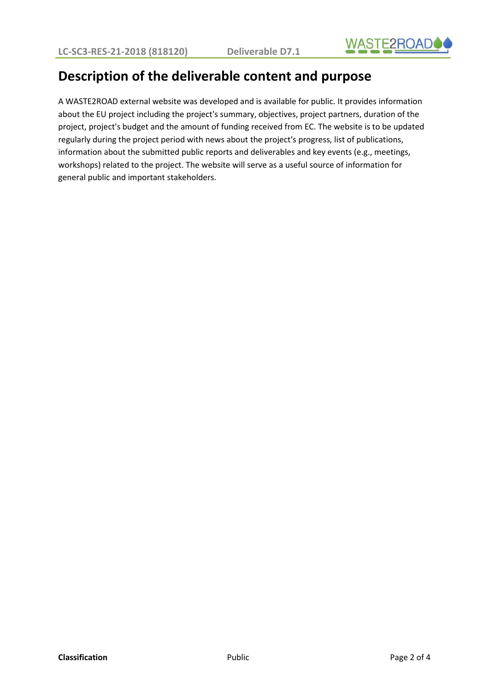

## **Description of the deliverable content and purpose**

A WASTE2ROAD external website was developed and is available for public. It provides information about the EU project including the project's summary, objectives, project partners, duration of the project, project's budget and the amount of funding received from EC. The website is to be updated regularly during the project period with news about the project's progress, list of publications, information about the submitted public reports and deliverables and key events (e.g., meetings, workshops) related to the project. The website will serve as a useful source of information for general public and important stakeholders.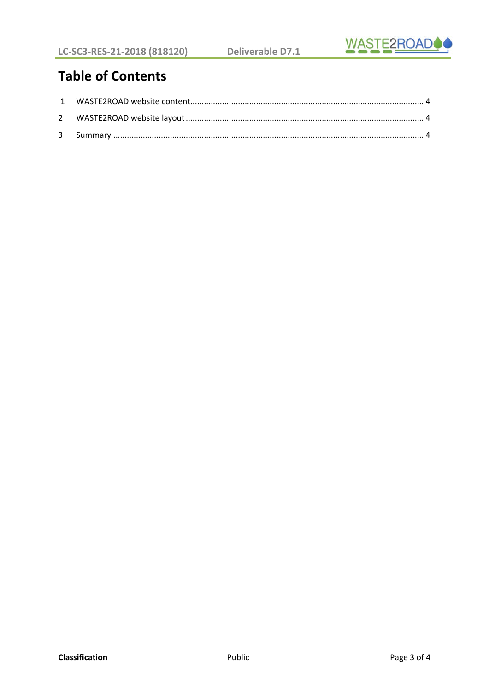

# **Table of Contents**